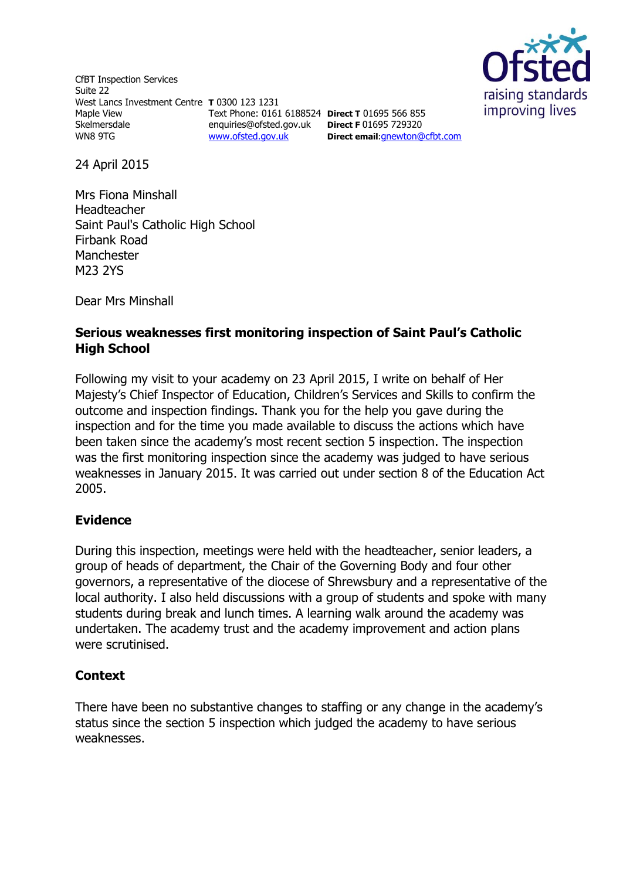CfBT Inspection Services Suite 22 West Lancs Investment Centre **T** 0300 123 1231 Maple View Skelmersdale WN8 9TG Text Phone: 0161 6188524 **Direct T** 01695 566 855 enquiries@ofsted.gov.uk **Direct F** 01695 729320 [www.ofsted.gov.uk](http://www.ofsted.gov.uk/)



**Direct email**:[gnewton@cfbt.com](../../gnewton/AppData/Local/Microsoft/Windows/Temporary%20Internet%20Files/Content.IE5/R0WUE4HL/gnewton@cfbt.com)

24 April 2015

Mrs Fiona Minshall Headteacher Saint Paul's Catholic High School Firbank Road Manchester M23 2YS

Dear Mrs Minshall

# **Serious weaknesses first monitoring inspection of Saint Paul's Catholic High School**

Following my visit to your academy on 23 April 2015, I write on behalf of Her Majesty's Chief Inspector of Education, Children's Services and Skills to confirm the outcome and inspection findings. Thank you for the help you gave during the inspection and for the time you made available to discuss the actions which have been taken since the academy's most recent section 5 inspection. The inspection was the first monitoring inspection since the academy was judged to have serious weaknesses in January 2015. It was carried out under section 8 of the Education Act 2005.

## **Evidence**

During this inspection, meetings were held with the headteacher, senior leaders, a group of heads of department, the Chair of the Governing Body and four other governors, a representative of the diocese of Shrewsbury and a representative of the local authority. I also held discussions with a group of students and spoke with many students during break and lunch times. A learning walk around the academy was undertaken. The academy trust and the academy improvement and action plans were scrutinised.

## **Context**

There have been no substantive changes to staffing or any change in the academy's status since the section 5 inspection which judged the academy to have serious weaknesses.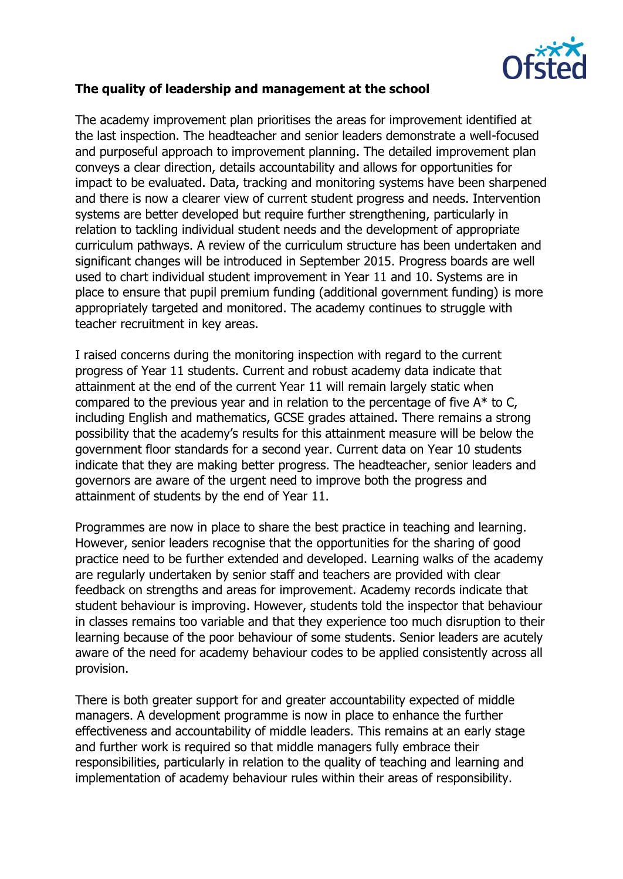

# **The quality of leadership and management at the school**

The academy improvement plan prioritises the areas for improvement identified at the last inspection. The headteacher and senior leaders demonstrate a well-focused and purposeful approach to improvement planning. The detailed improvement plan conveys a clear direction, details accountability and allows for opportunities for impact to be evaluated. Data, tracking and monitoring systems have been sharpened and there is now a clearer view of current student progress and needs. Intervention systems are better developed but require further strengthening, particularly in relation to tackling individual student needs and the development of appropriate curriculum pathways. A review of the curriculum structure has been undertaken and significant changes will be introduced in September 2015. Progress boards are well used to chart individual student improvement in Year 11 and 10. Systems are in place to ensure that pupil premium funding (additional government funding) is more appropriately targeted and monitored. The academy continues to struggle with teacher recruitment in key areas.

I raised concerns during the monitoring inspection with regard to the current progress of Year 11 students. Current and robust academy data indicate that attainment at the end of the current Year 11 will remain largely static when compared to the previous year and in relation to the percentage of five  $A^*$  to C, including English and mathematics, GCSE grades attained. There remains a strong possibility that the academy's results for this attainment measure will be below the government floor standards for a second year. Current data on Year 10 students indicate that they are making better progress. The headteacher, senior leaders and governors are aware of the urgent need to improve both the progress and attainment of students by the end of Year 11.

Programmes are now in place to share the best practice in teaching and learning. However, senior leaders recognise that the opportunities for the sharing of good practice need to be further extended and developed. Learning walks of the academy are regularly undertaken by senior staff and teachers are provided with clear feedback on strengths and areas for improvement. Academy records indicate that student behaviour is improving. However, students told the inspector that behaviour in classes remains too variable and that they experience too much disruption to their learning because of the poor behaviour of some students. Senior leaders are acutely aware of the need for academy behaviour codes to be applied consistently across all provision.

There is both greater support for and greater accountability expected of middle managers. A development programme is now in place to enhance the further effectiveness and accountability of middle leaders. This remains at an early stage and further work is required so that middle managers fully embrace their responsibilities, particularly in relation to the quality of teaching and learning and implementation of academy behaviour rules within their areas of responsibility.